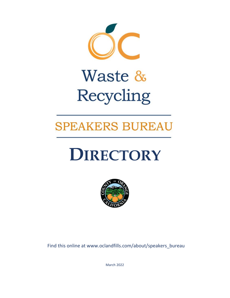

# Waste & Recycling

# **SPEAKERS BUREAU**

# **DIRECTORY**



Find this online at www.oclandfills.com/about/speakers\_bureau

March 2022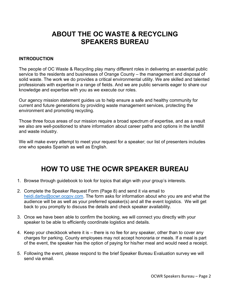## **ABOUT THE OC WASTE & RECYCLING SPEAKERS BUREAU**

#### **INTRODUCTION**

The people of OC Waste & Recycling play many different roles in delivering an essential public service to the residents and businesses of Orange County – the management and disposal of solid waste. The work we do provides a critical environmental utility. We are skilled and talented professionals with expertise in a range of fields. And we are public servants eager to share our knowledge and expertise with you as we execute our roles.

Our agency mission statement guides us to help ensure a safe and healthy community for current and future generations by providing waste management services, protecting the environment and promoting recycling.

Those three focus areas of our mission require a broad spectrum of expertise, and as a result we also are well-positioned to share information about career paths and options in the landfill and waste industry.

We will make every attempt to meet your request for a speaker; our list of presenters includes one who speaks Spanish as well as English.

# **HOW TO USE THE OCWR SPEAKER BUREAU**

- 1. Browse through guidebook to look for topics that align with your group's interests.
- 2. Complete the Speaker Request Form (Page 8) and send it via email to [heidi.darby@ocwr.ocgov.com.](mailto:heidi.darby@ocwr.ocgov.com) The form asks for information about who you are and what the audience will be as well as your preferred speaker(s) and all the event logistics. We will get back to you promptly to discuss the details and check speaker availability.
- 3. Once we have been able to confirm the booking, we will connect you directly with your speaker to be able to efficiently coordinate logistics and details.
- 4. Keep your checkbook where it is there is no fee for any speaker, other than to cover any charges for parking. County employees may not accept honoraria or meals. If a meal is part of the event, the speaker has the option of paying for his/her meal and would need a receipt.
- 5. Following the event, please respond to the brief Speaker Bureau Evaluation survey we will send via email.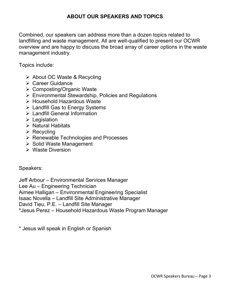#### **ABOUT OUR SPEAKERS AND TOPICS**

Combined, our speakers can address more than a dozen topics related to landfilling and waste management. All are well-qualified to present our OCWR overview and are happy to discuss the broad array of career options in the waste management industry.

Topics include:

- **► About OC Waste & Recycling**
- **≻ Career Guidance**
- Composting/Organic Waste
- Environmental Stewardship, Policies and Regulations
- Household Hazardous Waste
- $\triangleright$  Landfill Gas to Energy Systems
- Landfill General Information
- $\triangleright$  Legislation
- $\triangleright$  Natural Habitats
- $\triangleright$  Recycling
- $\triangleright$  Renewable Technologies and Processes
- $\triangleright$  Solid Waste Management
- Waste Diversion

Speakers:

Jeff Arbour – Environmental Services Manager

Lee Au – Engineering Technician

Aimee Halligan – Environmental Engineering Specialist

Isaac Novella – Landfill Site Administrative Manager

David Tieu, P.E. – Landfill Site Manager

\*Jesus Perez – Household Hazardous Waste Program Manager

\* Jesus will speak in English or Spanish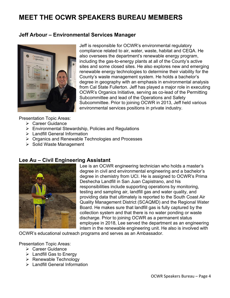# **MEET THE OCWR SPEAKERS BUREAU MEMBERS**

#### **Jeff Arbour – Environmental Services Manager**



Jeff is responsible for OCWR's environmental regulatory compliance related to air, water, waste, habitat and CEQA. He also oversees the department's renewable energy program, including the gas-to-energy plants at all of the County's active sites and some closed sites. He also explores new and emerging renewable energy technologies to determine their viability for the County's waste management system. He holds a bachelor's degree in geography with an emphasis in environmental analysis from Cal State Fullerton. Jeff has played a major role in executing OCWR's Organics Initiative, serving as co-lead of the Permitting Subcommittee and lead of the Operations and Safety Subcommittee. Prior to joining OCWR in 2013, Jeff held various environmental services positions in private industry.

Presentation Topic Areas:

- **▶ Career Guidance**
- $\triangleright$  Environmental Stewardship, Policies and Regulations
- Landfill General Information
- **▶ Organics and Renewable Technologies and Processes**
- $\triangleright$  Solid Waste Management

#### **Lee Au – Civil Engineering Assistant**



Lee is an OCWR engineering technician who holds a master's degree in civil and environmental engineering and a bachelor's degree in chemistry from UCI. He is assigned to OCWR's Prima Deshecha Landfill in San Juan Capistrano, and his responsibilities include supporting operations by monitoring, testing and sampling air, landfill gas and water quality, and providing data that ultimately is reported to the South Coast Air Quality Management District (SCAQMD) and the Regional Water Board. He makes sure that landfill gas is fully captured by the collection system and that there is no water ponding or waste discharge. Prior to joining OCWR as a permanent status employee in 2018, Lee served the department as an engineering intern in the renewable engineering unit. He also is involved with

OCWR's educational outreach programs and serves as an Ambassador.

Presentation Topic Areas:

- **▶ Career Guidance**
- $\triangleright$  Landfill Gas to Energy
- $\triangleright$  Renewable Technology
- Landfill General Information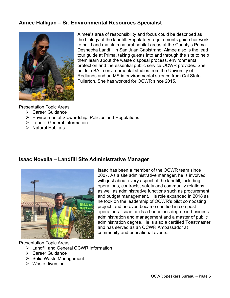#### **Aimee Halligan – Sr. Environmental Resources Specialist**



Aimee's area of responsibility and focus could be described as the biology of the landfill. Regulatory requirements guide her work to build and maintain natural habitat areas at the County's Prima Deshecha Landfill in San Juan Capistrano. Aimee also is the lead tour guide at Prima, taking guests into and through the site to help them learn about the waste disposal process, environmental protection and the essential public service OCWR provides. She holds a BA in environmental studies from the University of Redlands and an MS in environmental science from Cal State Fullerton. She has worked for OCWR since 2015.

Presentation Topic Areas:

- $\triangleright$  Career Guidance
- Environmental Stewardship, Policies and Regulations
- > Landfill General Information
- $\triangleright$  Natural Habitats

#### **Isaac Novella – Landfill Site Administrative Manager**



Isaac has been a member of the OCWR team since 2007. As a site administrative manager, he is involved with just about every aspect of the landfill, including operations, contracts, safety and community relations, as well as administrative functions such as procurement and budget management. His role expanded in 2018 as he took on the leadership of OCWR's pilot composting project, and he even became certified in compost operations. Isaac holds a bachelor's degree in business administration and management and a master of public administration degree. He is also a certified Toastmaster and has served as an OCWR Ambassador at community and educational events.

Presentation Topic Areas:

- Landfill and General OCWR Information
- **▶ Career Guidance**
- $\triangleright$  Solid Waste Management
- $\triangleright$  Waste diversion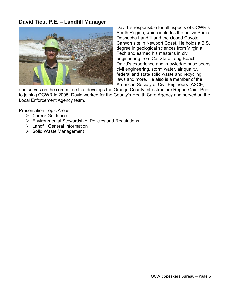#### **David Tieu, P.E. – Landfill Manager**



David is responsible for all aspects of OCWR's South Region, which includes the active Prima Deshecha Landfill and the closed Coyote Canyon site in Newport Coast. He holds a B.S. degree in geological sciences from Virginia Tech and earned his master's in civil engineering from Cal State Long Beach. David's experience and knowledge base spans civil engineering, storm water, air quality, federal and state solid waste and recycling laws and more. He also is a member of the American Society of Civil Engineers (ASCE)

and serves on the committee that develops the Orange County Infrastructure Report Card. Prior to joining OCWR in 2005, David worked for the County's Health Care Agency and served on the Local Enforcement Agency team.

Presentation Topic Areas:

- **▶ Career Guidance**
- $\triangleright$  Environmental Stewardship, Policies and Regulations
- Landfill General Information
- $\triangleright$  Solid Waste Management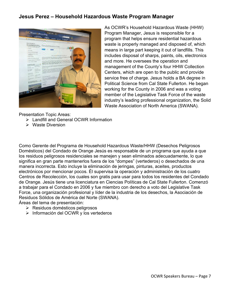#### **Jesus Perez – Household Hazardous Waste Program Manager**



As OCWR's Household Hazardous Waste (HHW) Program Manager, Jesus is responsible for a program that helps ensure residential hazardous waste is properly managed and disposed of, which means in large part keeping it out of landfills. This includes disposal of sharps, paints, oils, electronics and more. He oversees the operation and management of the County's four HHW Collection Centers, which are open to the public and provide service free of charge. Jesus holds a BA degree in Political Science from Cal State Fullerton. He began working for the County in 2006 and was a voting member of the Legislative Task Force of the waste industry's leading professional organization, the Solid Waste Association of North America (SWANA).

Presentation Topic Areas:

- Landfill and General OCWR Information
- $\triangleright$  Waste Diversion

Como Gerente del Programa de Household Hazardous Waste/HHW (Desechos Peligrosos Domésticos) del Condado de Orange Jesús es responsable de un programa que ayuda a que los residuos peligrosos residenciales se manejen y sean eliminados adecuadamente, lo que significa en gran parte mantenerlos fuera de los "dompes" (vertederos) o desechados de una manera incorrecta. Esto incluye la eliminación de jeringas, pinturas, aceites, productos electrónicos por mencionar pocos. Él supervisa la operación y administración de los cuatro Centros de Recolección, los cuales son gratis para usar para todos los residentes del Condado de Orange. Jesús tiene una licenciatura en Ciencias Políticas de Cal State Fullerton. Comenzó a trabajar para el Condado en 2006 y fue miembro con derecho a voto del Legislative Task Force, una organización profesional y líder de la industria de los desechos, la Asociación de Residuos Sólidos de América del Norte (SWANA).

Áreas del tema de presentación:

- $\triangleright$  Residuos domésticos peligrosos
- $\triangleright$  Información del OCWR y los vertederos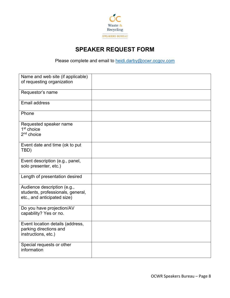

### **SPEAKER REQUEST FORM**

Please complete and email to [heidi.darby@ocwr.ocgov.com](mailto:heidi.darby@ocwr.ocgov.com)

| Name and web site (if applicable)<br>of requesting organization                                 |  |
|-------------------------------------------------------------------------------------------------|--|
| Requestor's name                                                                                |  |
| <b>Email address</b>                                                                            |  |
| Phone                                                                                           |  |
| Requested speaker name<br>$1st$ choice<br>$2nd$ choice                                          |  |
| Event date and time (ok to put<br>TBD)                                                          |  |
| Event description (e.g., panel,<br>solo presenter, etc.)                                        |  |
| Length of presentation desired                                                                  |  |
| Audience description (e.g.,<br>students, professionals, general,<br>etc., and anticipated size) |  |
| Do you have projection/AV<br>capability? Yes or no.                                             |  |
| Event location details (address,<br>parking directions and<br>instructions, etc.)               |  |
| Special requests or other<br>information                                                        |  |